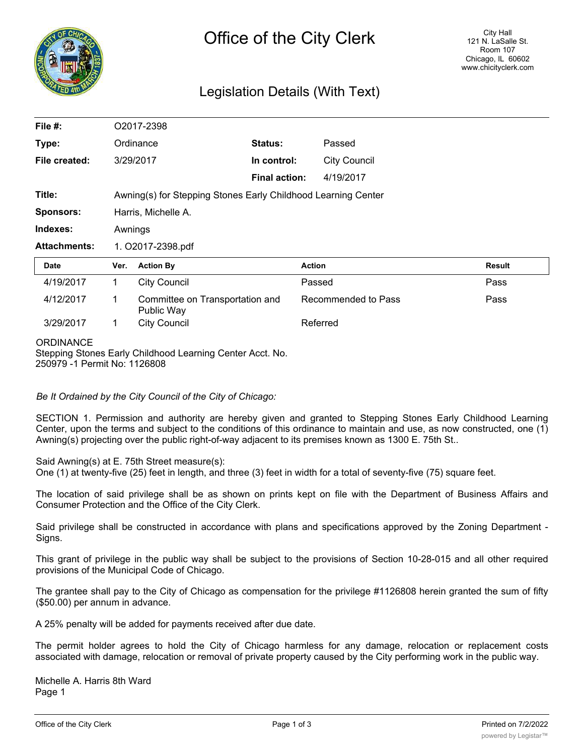

# Legislation Details (With Text)

| File #:             | O2017-2398                                                    |                                               |                      |                     |               |
|---------------------|---------------------------------------------------------------|-----------------------------------------------|----------------------|---------------------|---------------|
| Type:               |                                                               | Ordinance                                     | Status:              | Passed              |               |
| File created:       |                                                               | 3/29/2017                                     | In control:          | <b>City Council</b> |               |
|                     |                                                               |                                               | <b>Final action:</b> | 4/19/2017           |               |
| Title:              | Awning(s) for Stepping Stones Early Childhood Learning Center |                                               |                      |                     |               |
| <b>Sponsors:</b>    | Harris, Michelle A.                                           |                                               |                      |                     |               |
| Indexes:            | Awnings                                                       |                                               |                      |                     |               |
| <b>Attachments:</b> | 1. O2017-2398.pdf                                             |                                               |                      |                     |               |
| Date                | Ver.                                                          | <b>Action By</b>                              |                      | <b>Action</b>       | <b>Result</b> |
| 4/19/2017           | 1                                                             | <b>City Council</b>                           |                      | Passed              | Pass          |
| 4/12/2017           | 1                                                             | Committee on Transportation and<br>Public Way |                      | Recommended to Pass | Pass          |
| 3/29/2017           | 1                                                             | <b>City Council</b>                           |                      | Referred            |               |
| <b>ODDINIANCE</b>   |                                                               |                                               |                      |                     |               |

#### **ORDINANCE**

Stepping Stones Early Childhood Learning Center Acct. No. 250979 -1 Permit No: 1126808

*Be It Ordained by the City Council of the City of Chicago:*

SECTION 1. Permission and authority are hereby given and granted to Stepping Stones Early Childhood Learning Center, upon the terms and subject to the conditions of this ordinance to maintain and use, as now constructed, one (1) Awning(s) projecting over the public right-of-way adjacent to its premises known as 1300 E. 75th St..

Said Awning(s) at E. 75th Street measure(s):

One (1) at twenty-five (25) feet in length, and three (3) feet in width for a total of seventy-five (75) square feet.

The location of said privilege shall be as shown on prints kept on file with the Department of Business Affairs and Consumer Protection and the Office of the City Clerk.

Said privilege shall be constructed in accordance with plans and specifications approved by the Zoning Department - Signs.

This grant of privilege in the public way shall be subject to the provisions of Section 10-28-015 and all other required provisions of the Municipal Code of Chicago.

The grantee shall pay to the City of Chicago as compensation for the privilege #1126808 herein granted the sum of fifty (\$50.00) per annum in advance.

A 25% penalty will be added for payments received after due date.

The permit holder agrees to hold the City of Chicago harmless for any damage, relocation or replacement costs associated with damage, relocation or removal of private property caused by the City performing work in the public way.

Michelle A. Harris 8th Ward Page 1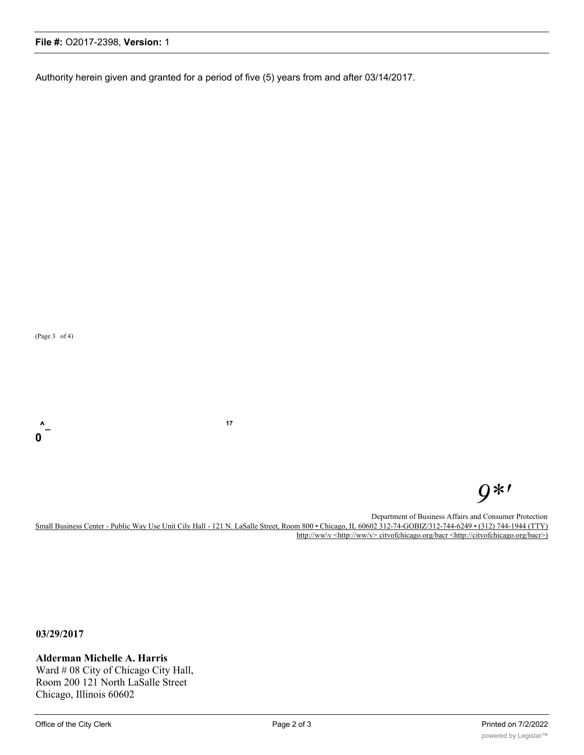### **File #:** O2017-2398, **Version:** 1

Authority herein given and granted for a period of five (5) years from and after 03/14/2017.

(Page 3 of 4)

# *9\*'*

Department of Business Affairs and Consumer Protection Small Business Center - Public Way Use Unit Cily Hall - 121 N. LaSalle Street, Room 800 • Chicago, IL 60602 312-74-GOBIZ/312-744-6249 • (312) 744-1944 (TTY) http://ww\v <http://ww/v> citvofchicago.org/bacr <http://citvofchicago.org/bacr>)

**03/29/2017**

**Alderman Michelle A. Harris** Ward # 08 City of Chicago City Hall, Room 200 121 North LaSalle Street

Chicago, Illinois 60602